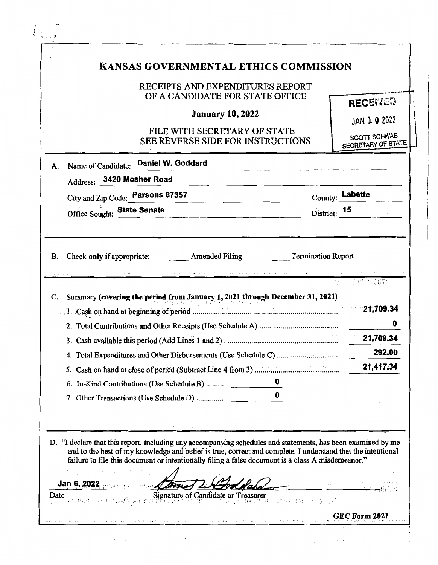| KANSAS GOVERNMENTAL ETHICS COMMISSION<br>RECEIPTS AND EXPENDITURES REPORT                                    |              |                                                                                                                                                                                                                  |
|--------------------------------------------------------------------------------------------------------------|--------------|------------------------------------------------------------------------------------------------------------------------------------------------------------------------------------------------------------------|
| OF A CANDIDATE FOR STATE OFFICE<br><b>January 10, 2022</b><br>FILE WITH SECRETARY OF STATE                   |              | <b>RECEIVED</b><br>JAN 1 0 2022<br><b>SCOTT SCHWAB</b>                                                                                                                                                           |
| SEE REVERSE SIDE FOR INSTRUCTIONS<br>Name of Candidate: Daniel W. Goddard<br>A.                              |              | SECRETARY OF STATE                                                                                                                                                                                               |
| Address: 3420 Mosher Road                                                                                    |              |                                                                                                                                                                                                                  |
| City and Zip Code: Parsons 67357                                                                             |              | County: Labette                                                                                                                                                                                                  |
| Office Sought: State Senate                                                                                  | District: 15 |                                                                                                                                                                                                                  |
| C. Summary (covering the period from January 1, 2021 through December 31, 2021)                              |              | 0<br>21,709.34                                                                                                                                                                                                   |
|                                                                                                              |              | 292.00                                                                                                                                                                                                           |
|                                                                                                              |              | 21,417.34                                                                                                                                                                                                        |
| 6. In-Kind Contributions (Use Schedule B)                                                                    |              |                                                                                                                                                                                                                  |
|                                                                                                              |              |                                                                                                                                                                                                                  |
| D. "I declare that this report, including any accompanying schedules and statements, has been examined by me |              | and to the best of my knowledge and belief is true, correct and complete. I understand that the intentional<br>failure to file this document or intentionally filing a false document is a class A misdemeanor." |